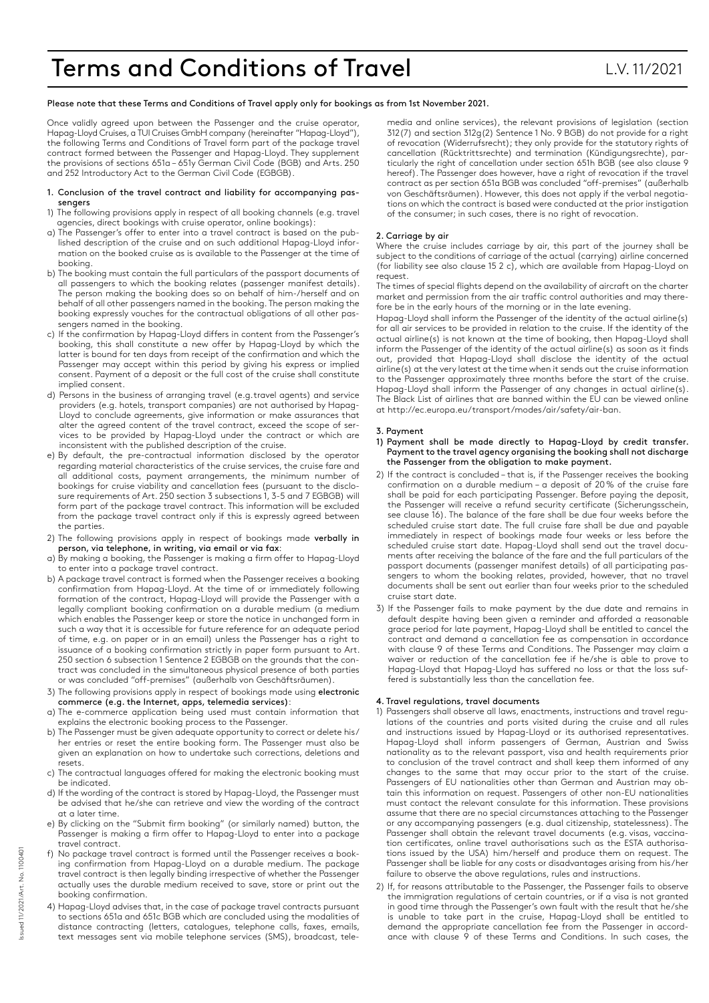# Terms and Conditions of Travel **L.W. 11/2021**

Please note that these Terms and Conditions of Travel apply only for bookings as from 1st November 2021.

Once validly agreed upon between the Passenger and the cruise operator, Hapag-Lloyd Cruises, a TUI Cruises GmbH company (hereinafter "Hapag-Lloyd"), the following Terms and Conditions of Travel form part of the package travel contract formed between the Passenger and Hapag-Lloyd. They supplement the provisions of sections 651a - 651y German Civil Code (BGB) and Arts. 250 and 252 Introductory Act to the German Civil Code (EGBGB).

- 1. Conclusion of the travel contract and liability for accompanying passengers
- 1) The following provisions apply in respect of all booking channels (e.g. travel agencies, direct bookings with cruise operator, online bookings):
- a) The Passenger's offer to enter into a travel contract is based on the published description of the cruise and on such additional Hapag-Lloyd information on the booked cruise as is available to the Passenger at the time of booking.
- b) The booking must contain the full particulars of the passport documents of all passengers to which the booking relates (passenger manifest details). The person making the booking does so on behalf of him-/herself and on behalf of all other passengers named in the booking. The person making the booking expressly vouches for the contractual obligations of all other passengers named in the booking.
- c) If the confirmation by Hapag-Lloyd differs in content from the Passenger's booking, this shall constitute a new offer by Hapag-Lloyd by which the latter is bound for ten days from receipt of the confirmation and which the Passenger may accept within this period by giving his express or implied consent. Payment of a deposit or the full cost of the cruise shall constitute implied consent.
- d) Persons in the business of arranging travel (e.g. travel agents) and service providers (e.g. hotels, transport companies) are not authorised by Hapag-Lloyd to conclude agreements, give information or make assurances that alter the agreed content of the travel contract, exceed the scope of services to be provided by Hapag-Lloyd under the contract or which are inconsistent with the published description of the cruise.
- e) By default, the pre-contractual information disclosed by the operator regarding material characteristics of the cruise services, the cruise fare and all additional costs, payment arrangements, the minimum number of bookings for cruise viability and cancellation fees (pursuant to the disclosure requirements of Art. 250 section 3 subsections 1, 3-5 and 7 EGBGB) will form part of the package travel contract. This information will be excluded from the package travel contract only if this is expressly agreed between the parties.
- 2) The following provisions apply in respect of bookings made verbally in person, via telephone, in writing, via email or via fax:
- a) By making a booking, the Passenger is making a firm offer to Hapag-Lloyd to enter into a package travel contract.
- b) A package travel contract is formed when the Passenger receives a booking confirmation from Hapag-Lloyd. At the time of or immediately following formation of the contract, Hapag-Lloyd will provide the Passenger with a legally compliant booking confirmation on a durable medium (a medium which enables the Passenger keep or store the notice in unchanged form in such a way that it is accessible for future reference for an adequate period of time, e.g. on paper or in an email) unless the Passenger has a right to issuance of a booking confirmation strictly in paper form pursuant to Art. 250 section 6 subsection 1 Sentence 2 EGBGB on the grounds that the contract was concluded in the simultaneous physical presence of both parties or was concluded "off-premises" (außerhalb von Geschäftsräumen).
- 3) The following provisions apply in respect of bookings made using electronic commerce (e.g. the Internet, apps, telemedia services):
- a) The e-commerce application being used must contain information that explains the electronic booking process to the Passenger.
- b) The Passenger must be given adequate opportunity to correct or delete his/ her entries or reset the entire booking form. The Passenger must also be given an explanation on how to undertake such corrections, deletions and resets.
- c) The contractual languages offered for making the electronic booking must be indicated.
- d) If the wording of the contract is stored by Hapag-Lloyd, the Passenger must be advised that he/she can retrieve and view the wording of the contract at a later time.
- e) By clicking on the "Submit firm booking" (or similarly named) button, the Passenger is making a firm offer to Hapag-Lloyd to enter into a package travel contract.
- f) No package travel contract is formed until the Passenger receives a booking confirmation from Hapag-Lloyd on a durable medium. The package travel contract is then legally binding irrespective of whether the Passenger actually uses the durable medium received to save, store or print out the booking confirmation.
- 4) Hapag-Lloyd advises that, in the case of package travel contracts pursuant to sections 651a and 651c BGB which are concluded using the modalities of distance contracting (letters, catalogues, telephone calls, faxes, emails, text messages sent via mobile telephone services (SMS), broadcast, tele-

media and online services), the relevant provisions of legislation (section 312(7) and section 312g(2) Sentence 1 No. 9 BGB) do not provide for a right of revocation (Widerrufsrecht); they only provide for the statutory rights of cancellation (Rücktrittsrechte) and termination (Kündigungsrechte), particularly the right of cancellation under section 651h BGB (see also clause 9 hereof). The Passenger does however, have a right of revocation if the travel contract as per section 651a BGB was concluded "off-premises" (außerhalb von Geschäftsräumen). However, this does not apply if the verbal negotiations on which the contract is based were conducted at the prior instigation of the consumer; in such cases, there is no right of revocation.

# 2. Carriage by air

Where the cruise includes carriage by air, this part of the journey shall be subject to the conditions of carriage of the actual (carrying) airline concerned (for liability see also clause 15 2 c), which are available from Hapag-Lloyd on request.

The times of special flights depend on the availability of aircraft on the charter market and permission from the air traffic control authorities and may therefore be in the early hours of the morning or in the late evening.

Hapag-Lloyd shall inform the Passenger of the identity of the actual airline(s) for all air services to be provided in relation to the cruise. If the identity of the actual airline(s) is not known at the time of booking, then Hapag-Lloyd shall inform the Passenger of the identity of the actual airline(s) as soon as it finds out, provided that Hapag-Lloyd shall disclose the identity of the actual airline(s) at the very latest at the time when it sends out the cruise information to the Passenger approximately three months before the start of the cruise. Hapag-Lloyd shall inform the Passenger of any changes in actual airline(s). The Black List of airlines that are banned within the EU can be viewed online at http://ec.europa.eu/transport/modes/air/safety/air-ban.

# 3. Payment

- 1) Payment shall be made directly to Hapag-Lloyd by credit transfer. Payment to the travel agency organising the booking shall not discharge the Passenger from the obligation to make payment.
- 2) If the contract is concluded that is, if the Passenger receives the booking confirmation on a durable medium – a deposit of 20% of the cruise fare shall be paid for each participating Passenger. Before paying the deposit, the Passenger will receive a refund security certificate (Sicherungsschein, see clause 16). The balance of the fare shall be due four weeks before the scheduled cruise start date. The full cruise fare shall be due and payable immediately in respect of bookings made four weeks or less before the scheduled cruise start date. Hapag-Lloyd shall send out the travel documents after receiving the balance of the fare and the full particulars of the passport documents (passenger manifest details) of all participating passengers to whom the booking relates, provided, however, that no travel documents shall be sent out earlier than four weeks prior to the scheduled cruise start date.
- 3) If the Passenger fails to make payment by the due date and remains in default despite having been given a reminder and afforded a reasonable grace period for late payment, Hapag-Lloyd shall be entitled to cancel the contract and demand a cancellation fee as compensation in accordance with clause 9 of these Terms and Conditions. The Passenger may claim a waiver or reduction of the cancellation fee if he/she is able to prove to Hapag-Lloyd that Hapag-Lloyd has suffered no loss or that the loss suffered is substantially less than the cancellation fee.

# 4. Travel regulations, travel documents

- 1) Passengers shall observe all laws, enactments, instructions and travel regulations of the countries and ports visited during the cruise and all rules and instructions issued by Hapag-Lloyd or its authorised representatives. Hapag-Lloyd shall inform passengers of German, Austrian and Swiss nationality as to the relevant passport, visa and health requirements prior to conclusion of the travel contract and shall keep them informed of any changes to the same that may occur prior to the start of the cruise. Passengers of EU nationalities other than German and Austrian may obtain this information on request. Passengers of other non-EU nationalities must contact the relevant consulate for this information. These provisions assume that there are no special circumstances attaching to the Passenger or any accompanying passengers (e.g. dual citizenship, statelessness). The Passenger shall obtain the relevant travel documents (e.g. visas, vaccination certificates, online travel authorisations such as the ESTA authorisations issued by the USA) him/herself and produce them on request. The Passenger shall be liable for any costs or disadvantages arising from his/her failure to observe the above regulations, rules and instructions.
- 2) If, for reasons attributable to the Passenger, the Passenger fails to observe the immigration regulations of certain countries, or if a visa is not granted in good time through the Passenger's own fault with the result that he/she is unable to take part in the cruise, Hapag-Lloyd shall be entitled to demand the appropriate cancellation fee from the Passenger in accordance with clause  $\frac{1}{9}$  of these Terms and Conditions. In such cases, the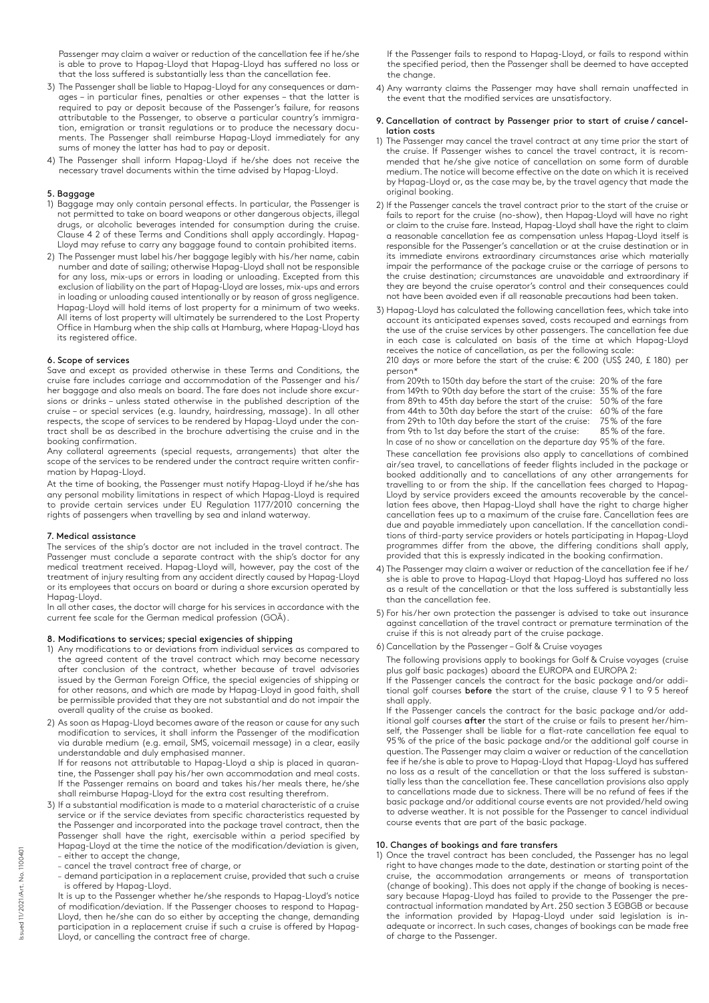Passenger may claim a waiver or reduction of the cancellation fee if he/she is able to prove to Hapag-Lloyd that Hapag-Lloyd has suffered no loss or that the loss suffered is substantially less than the cancellation fee.

- 3) The Passenger shall be liable to Hapag-Lloyd for any consequences or damages – in particular fines, penalties or other expenses – that the latter is required to pay or deposit because of the Passenger's failure, for reasons attributable to the Passenger, to observe a particular country's immigration, emigration or transit regulations or to produce the necessary documents. The Passenger shall reimburse Hapag-Lloyd immediately for any sums of money the latter has had to pay or deposit.
- 4) The Passenger shall inform Hapag-Lloyd if he/she does not receive the necessary travel documents within the time advised by Hapag-Lloyd.

# 5. Baggage

- 1) Baggage may only contain personal effects. In particular, the Passenger is not permitted to take on board weapons or other dangerous objects, illegal drugs, or alcoholic beverages intended for consumption during the cruise. Clause 4 2 of these Terms and Conditions shall apply accordingly. Hapag-Lloyd may refuse to carry any baggage found to contain prohibited items.
- 2) The Passenger must label his/her baggage legibly with his/her name, cabin number and date of sailing; otherwise Hapag-Lloyd shall not be responsible for any loss, mix-ups or errors in loading or unloading. Excepted from this exclusion of liability on the part of Hapag-Lloyd are losses, mix-ups and errors in loading or unloading caused intentionally or by reason of gross negligence. Hapag-Lloyd will hold items of lost property for a minimum of two weeks. All items of lost property will ultimately be surrendered to the Lost Property Office in Hamburg when the ship calls at Hamburg, where Hapag-Lloyd has its registered office.

#### 6. Scope of services

Save and except as provided otherwise in these Terms and Conditions, the cruise fare includes carriage and accommodation of the Passenger and his/ her baggage and also meals on board. The fare does not include shore excursions or drinks – unless stated otherwise in the published description of the cruise – or special services (e.g. laundry, hairdressing, massage). In all other respects, the scope of services to be rendered by Hapag-Lloyd under the contract shall be as described in the brochure advertising the cruise and in the booking confirmation.

Any collateral agreements (special requests, arrangements) that alter the scope of the services to be rendered under the contract require written confirmation by Hapag-Lloyd.

At the time of booking, the Passenger must notify Hapag-Lloyd if he/she has any personal mobility limitations in respect of which Hapag-Lloyd is required to provide certain services under EU Regulation 1177/2010 concerning the rights of passengers when travelling by sea and inland waterway.

#### 7. Medical assistance

The services of the ship's doctor are not included in the travel contract. The Passenger must conclude a separate contract with the ship's doctor for any medical treatment received. Hapag-Lloyd will, however, pay the cost of the treatment of injury resulting from any accident directly caused by Hapag-Lloyd or its employees that occurs on board or during a shore excursion operated by Hapag-Lloyd.

In all other cases, the doctor will charge for his services in accordance with the current fee scale for the German medical profession (GOÄ).

#### 8. Modifications to services; special exigencies of shipping

- 1) Any modifications to or deviations from individual services as compared to the agreed content of the travel contract which may become necessary after conclusion of the contract, whether because of travel advisories issued by the German Foreign Office, the special exigencies of shipping or for other reasons, and which are made by Hapag-Lloyd in good faith, shall be permissible provided that they are not substantial and do not impair the overall quality of the cruise as booked.
- 2) As soon as Hapag-Lloyd becomes aware of the reason or cause for any such modification to services, it shall inform the Passenger of the modification via durable medium (e.g. email, SMS, voicemail message) in a clear, easily understandable and duly emphasised manner.

If for reasons not attributable to Hapag-Lloyd a ship is placed in quarantine, the Passenger shall pay his/her own accommodation and meal costs. If the Passenger remains on board and takes his/her meals there, he/she shall reimburse Hapag-Lloyd for the extra cost resulting therefrom.

- 3) If a substantial modification is made to a material characteristic of a cruise service or if the service deviates from specific characteristics requested by the Passenger and incorporated into the package travel contract, then the Passenger shall have the right, exercisable within a period specified by Hapag-Lloyd at the time the notice of the modification/deviation is given,
	- either to accept the change,
	- cancel the travel contract free of charge, or
	- demand participation in a replacement cruise, provided that such a cruise is offered by Hapag-Lloyd.

It is up to the Passenger whether he/she responds to Hapag-Lloyd's notice of modification/deviation. If the Passenger chooses to respond to Hapag-Lloyd, then he/she can do so either by accepting the change, demanding participation in a replacement cruise if such a cruise is offered by Hapag-Lloyd, or cancelling the contract free of charge.

 If the Passenger fails to respond to Hapag-Lloyd, or fails to respond within the specified period, then the Passenger shall be deemed to have accepted the change.

4) Any warranty claims the Passenger may have shall remain unaffected in the event that the modified services are unsatisfactory.

#### 9. Cancellation of contract by Passenger prior to start of cruise / cancellation costs

- 1) The Passenger may cancel the travel contract at any time prior the start of the cruise. If Passenger wishes to cancel the travel contract, it is recommended that he/she give notice of cancellation on some form of durable medium. The notice will become effective on the date on which it is received by Hapag-Lloyd or, as the case may be, by the travel agency that made the original booking.
- 2) If the Passenger cancels the travel contract prior to the start of the cruise or fails to report for the cruise (no-show), then Hapag-Lloyd will have no right or claim to the cruise fare. Instead, Hapag-Lloyd shall have the right to claim a reasonable cancellation fee as compensation unless Hapag-Lloyd itself is responsible for the Passenger's cancellation or at the cruise destination or in its immediate environs extraordinary circumstances arise which materially impair the performance of the package cruise or the carriage of persons to the cruise destination; circumstances are unavoidable and extraordinary if they are beyond the cruise operator's control and their consequences could not have been avoided even if all reasonable precautions had been taken.
- 3) Hapag-Lloyd has calculated the following cancellation fees, which take into account its anticipated expenses saved, costs recouped and earnings from the use of the cruise services by other passengers. The cancellation fee due in each case is calculated on basis of the time at which Hapag-Lloyd receives the notice of cancellation, as per the following scale:

 210 days or more before the start of the cruise: € 200 (US\$ 240, £ 180) per person\*

from 209th to 150th day before the start of the cruise: 20% of the fare from 149th to 90th day before the start of the cruise: 35% of the fare from 89th to 45th day before the start of the cruise: 50% of the fare from 44th to 30th day before the start of the cruise: 60% of the fare from 29th to 10th day before the start of the cruise: 75% of the fare<br>from 9th to 1st day before the start of the cruise: 85% of the fare. from 9th to 1st day before the start of the cruise: In case of no show or cancellation on the departure day 95% of the fare.

 These cancellation fee provisions also apply to cancellations of combined air/sea travel, to cancellations of feeder flights included in the package or booked additionally and to cancellations of any other arrangements for travelling to or from the ship. If the cancellation fees charged to Hapag-Lloyd by service providers exceed the amounts recoverable by the cancellation fees above, then Hapag-Lloyd shall have the right to charge higher cancellation fees up to a maximum of the cruise fare. Cancellation fees are due and payable immediately upon cancellation. If the cancellation conditions of third-party service providers or hotels participating in Hapag-Lloyd programmes differ from the above, the differing conditions shall apply, provided that this is expressly indicated in the booking confirmation.

- 4) The Passenger may claim a waiver or reduction of the cancellation fee if he/ she is able to prove to Hapag-Lloyd that Hapag-Lloyd has suffered no loss as a result of the cancellation or that the loss suffered is substantially less than the cancellation fee.
- 5) For his/her own protection the passenger is advised to take out insurance against cancellation of the travel contract or premature termination of the cruise if this is not already part of the cruise package.
- 6) Cancellation by the Passenger Golf & Cruise voyages

The following provisions apply to bookings for Golf & Cruise voyages (cruise plus golf basic packages) aboard the EUROPA and EUROPA 2:

If the Passenger cancels the contract for the basic package and/or additional golf courses before the start of the cruise, clause 91 to 95 hereof shall apply.

If the Passenger cancels the contract for the basic package and/or additional golf courses after the start of the cruise or fails to present her/himself, the Passenger shall be liable for a flat-rate cancellation fee equal to 95% of the price of the basic package and/or the additional golf course in question. The Passenger may claim a waiver or reduction of the cancellation fee if he/she is able to prove to Hapag-Lloyd that Hapag-Lloyd has suffered no loss as a result of the cancellation or that the loss suffered is substantially less than the cancellation fee. These cancellation provisions also apply to cancellations made due to sickness. There will be no refund of fees if the basic package and/or additional course events are not provided/held owing to adverse weather. It is not possible for the Passenger to cancel individual course events that are part of the basic package.

# 10. Changes of bookings and fare transfers

1) Once the travel contract has been concluded, the Passenger has no legal right to have changes made to the date, destination or starting point of the cruise, the accommodation arrangements or means of transportation (change of booking). This does not apply if the change of booking is necessary because Hapag-Lloyd has failed to provide to the Passenger the precontractual information mandated by Art. 250 section 3 EGBGB or because the information provided by Hapag-Lloyd under said legislation is inadequate or incorrect. In such cases, changes of bookings can be made free of charge to the Passenger.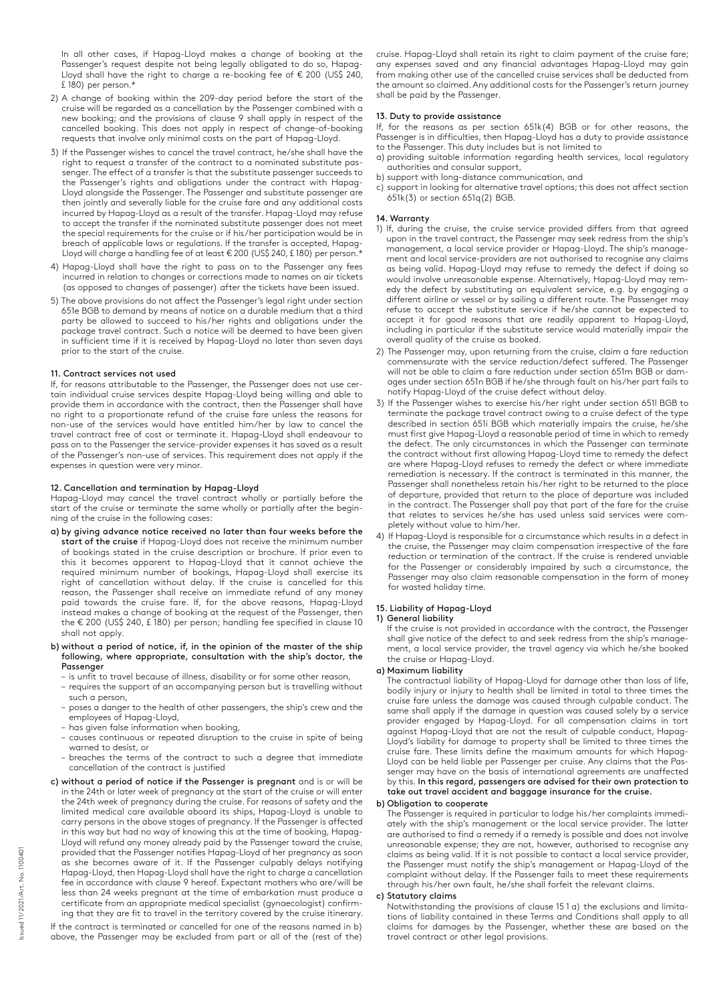In all other cases, if Hapag-Lloyd makes a change of booking at the Passenger's request despite not being legally obligated to do so, Hapag-Lloyd shall have the right to charge a re-booking fee of € 200 (US\$ 240, £ 180) per person.\*

- 2) A change of booking within the 209-day period before the start of the cruise will be regarded as a cancellation by the Passenger combined with a new booking; and the provisions of clause 9 shall apply in respect of the cancelled booking. This does not apply in respect of change-of-booking requests that involve only minimal costs on the part of Hapag-Lloyd.
- 3) If the Passenger wishes to cancel the travel contract, he/she shall have the right to request a transfer of the contract to a nominated substitute passenger. The effect of a transfer is that the substitute passenger succeeds to the Passenger's rights and obligations under the contract with Hapag-Lloyd alongside the Passenger. The Passenger and substitute passenger are then jointly and severally liable for the cruise fare and any additional costs incurred by Hapag-Lloyd as a result of the transfer. Hapag-Lloyd may refuse to accept the transfer if the nominated substitute passenger does not meet the special requirements for the cruise or if his/her participation would be in breach of applicable laws or regulations. If the transfer is accepted, Hapag-Lloyd will charge a handling fee of at least € 200 (US\$ 240, £ 180) per person.\*
- 4) Hapag-Lloyd shall have the right to pass on to the Passenger any fees incurred in relation to changes or corrections made to names on air tickets (as opposed to changes of passenger) after the tickets have been issued.
- 5) The above provisions do not affect the Passenger's legal right under section 651e BGB to demand by means of notice on a durable medium that a third party be allowed to succeed to his/her rights and obligations under the package travel contract. Such a notice will be deemed to have been given in sufficient time if it is received by Hapag-Lloyd no later than seven days prior to the start of the cruise.

#### 11. Contract services not used

If, for reasons attributable to the Passenger, the Passenger does not use certain individual cruise services despite Hapag-Lloyd being willing and able to provide them in accordance with the contract, then the Passenger shall have no right to a proportionate refund of the cruise fare unless the reasons for non-use of the services would have entitled him/her by law to cancel the travel contract free of cost or terminate it. Hapag-Lloyd shall endeavour to pass on to the Passenger the service-provider expenses it has saved as a result of the Passenger's non-use of services. This requirement does not apply if the expenses in question were very minor.

#### 12. Cancellation and termination by Hapag-Lloyd

Hapag-Lloyd may cancel the travel contract wholly or partially before the start of the cruise or terminate the same wholly or partially after the beginning of the cruise in the following cases:

- a) by giving advance notice received no later than four weeks before the start of the cruise if Hapag-Lloyd does not receive the minimum number of bookings stated in the cruise description or brochure. If prior even to this it becomes apparent to Hapag-Lloyd that it cannot achieve the required minimum number of bookings, Hapag-Lloyd shall exercise its right of cancellation without delay. If the cruise is cancelled for this reason, the Passenger shall receive an immediate refund of any money paid towards the cruise fare. If, for the above reasons, Hapag-Lloyd instead makes a change of booking at the request of the Passenger, then the € 200 (US\$ 240, £ 180) per person; handling fee specified in clause 10 shall not apply.
- b) without a period of notice, if, in the opinion of the master of the ship following, where appropriate, consultation with the ship's doctor, the Passenger
	- is unfit to travel because of illness, disability or for some other reason,
	- requires the support of an accompanying person but is travelling without such a person,
	- poses a danger to the health of other passengers, the ship's crew and the employees of Hapag-Lloyd,
	- has given false information when booking,
	- causes continuous or repeated disruption to the cruise in spite of being warned to desist, or
	- breaches the terms of the contract to such a degree that immediate cancellation of the contract is justified
- c) without a period of notice if the Passenger is pregnant and is or will be in the 24th or later week of pregnancy at the start of the cruise or will enter the 24th week of pregnancy during the cruise. For reasons of safety and the limited medical care available aboard its ships, Hapag-Lloyd is unable to carry persons in the above stages of pregnancy. If the Passenger is affected in this way but had no way of knowing this at the time of booking, Hapag-Lloyd will refund any money already paid by the Passenger toward the cruise, provided that the Passenger notifies Hapag-Lloyd of her pregnancy as soon as she becomes aware of it. If the Passenger culpably delays notifying Hapag-Lloyd, then Hapag-Lloyd shall have the right to charge a cancellation fee in accordance with clause 9 hereof. Expectant mothers who are/will be less than 24 weeks pregnant at the time of embarkation must produce a certificate from an appropriate medical specialist (gynaecologist) confirming that they are fit to travel in the territory covered by the cruise itinerary. If the contract is terminated or cancelled for one of the reasons named in b) above, the Passenger may be excluded from part or all of the (rest of the)

cruise. Hapag-Lloyd shall retain its right to claim payment of the cruise fare; any expenses saved and any financial advantages Hapag-Lloyd may gain from making other use of the cancelled cruise services shall be deducted from the amount so claimed. Any additional costs for the Passenger's return journey shall be paid by the Passenger.

#### 13. Duty to provide assistance

If, for the reasons as per section 651k(4) BGB or for other reasons, the Passenger is in difficulties, then Hapag-Lloyd has a duty to provide assistance to the Passenger. This duty includes but is not limited to

- a) providing suitable information regarding health services, local regulatory authorities and consular support,
- b) support with long-distance communication, and
- c) support in looking for alternative travel options; this does not affect section 651k(3) or section 651q(2) BGB.

# 14. Warranty

- 1) If, during the cruise, the cruise service provided differs from that agreed upon in the travel contract, the Passenger may seek redress from the ship's management, a local service provider or Hapag-Lloyd. The ship's management and local service-providers are not authorised to recognise any claims as being valid. Hapag-Lloyd may refuse to remedy the defect if doing so would involve unreasonable expense. Alternatively, Hapag-Lloyd may remedy the defect by substituting an equivalent service, e.g. by engaging a different airline or vessel or by sailing a different route. The Passenger may refuse to accept the substitute service if he/she cannot be expected to accept it for good reasons that are readily apparent to Hapag-Lloyd, including in particular if the substitute service would materially impair the overall quality of the cruise as booked.
- 2) The Passenger may, upon returning from the cruise, claim a fare reduction commensurate with the service reduction/defect suffered. The Passenger will not be able to claim a fare reduction under section 651m BGB or damages under section 651n BGB if he/she through fault on his/her part fails to notify Hapag-Lloyd of the cruise defect without delay.
- 3) If the Passenger wishes to exercise his/her right under section 651l BGB to terminate the package travel contract owing to a cruise defect of the type described in section 651i BGB which materially impairs the cruise, he/she must first give Hapag-Lloyd a reasonable period of time in which to remedy the defect. The only circumstances in which the Passenger can terminate the contract without first allowing Hapag-Lloyd time to remedy the defect are where Hapag-Lloyd refuses to remedy the defect or where immediate remediation is necessary. If the contract is terminated in this manner, the Passenger shall nonetheless retain his/her right to be returned to the place of departure, provided that return to the place of departure was included in the contract. The Passenger shall pay that part of the fare for the cruise that relates to services he/she has used unless said services were completely without value to him/her.
- 4) If Hapag-Lloyd is responsible for a circumstance which results in a defect in the cruise, the Passenger may claim compensation irrespective of the fare reduction or termination of the contract. If the cruise is rendered unviable for the Passenger or considerably impaired by such a circumstance, the Passenger may also claim reasonable compensation in the form of money for wasted holiday time.

# 15. Liability of Hapag-Lloyd

# 1) General liability

If the cruise is not provided in accordance with the contract, the Passenger shall give notice of the defect to and seek redress from the ship's management, a local service provider, the travel agency via which he/she booked the cruise or Hapag-Lloyd.

# a) Maximum liability

The contractual liability of Hapag-Lloyd for damage other than loss of life, bodily injury or injury to health shall be limited in total to three times the cruise fare unless the damage was caused through culpable conduct. The same shall apply if the damage in question was caused solely by a service provider engaged by Hapag-Lloyd. For all compensation claims in tort against Hapag-Lloyd that are not the result of culpable conduct, Hapag-Lloyd's liability for damage to property shall be limited to three times the cruise fare. These limits define the maximum amounts for which Hapag-Lloyd can be held liable per Passenger per cruise. Any claims that the Passenger may have on the basis of international agreements are unaffected by this. In this regard, passengers are advised for their own protection to take out travel accident and baggage insurance for the cruise.

# b) Obligation to cooperate

The Passenger is required in particular to lodge his/her complaints immediately with the ship's management or the local service provider. The latter are authorised to find a remedy if a remedy is possible and does not involve unreasonable expense; they are not, however, authorised to recognise any claims as being valid. If it is not possible to contact a local service provider, the Passenger must notify the ship's management or Hapag-Lloyd of the complaint without delay. If the Passenger fails to meet these requirements through his/her own fault, he/she shall forfeit the relevant claims.

# c) Statutory claims

Notwithstanding the provisions of clause 15 1 a) the exclusions and limitations of liability contained in these Terms and Conditions shall apply to all claims for damages by the Passenger, whether these are based on the travel contract or other legal provisions.